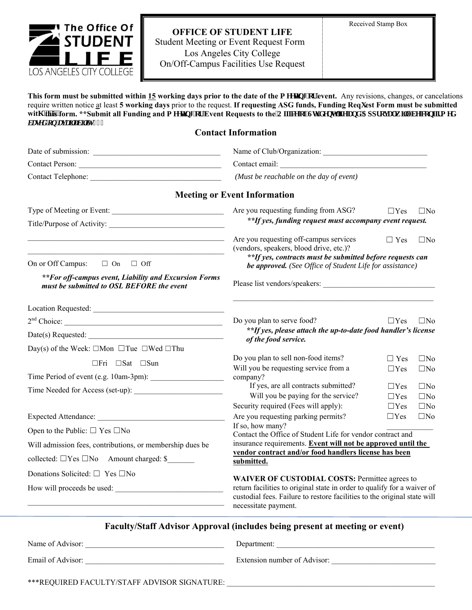

## **OFFICE OF STUDENT LIFE** Student Meeting or Event Request Form Los Angeles City College On/Off-Campus Facilities Use Request

This form must be submitted within 15 working days prior to the date of the o ggvipi 'qt'event. Any revisions, changes, or cancelations require written notice at least 5 working days prior to the request. If requesting ASG funds, Funding Reqwest Form must be submitted witj ''fHis'form. \*\*Submit all Funding and o ggvpi 'qt'Event Requests to the'QHleg'qHUwf gpv'Hlg'cpf 'Crrt qxcniy kni'dg'eqphko gf  $dc$ *ugf* '*hp* ' $cx$ *c*  $dx$ *dk* $y$ , , 0

## **Contact Information**

| Contact Person:                                                                                    |                                                                                                                                  |            |              |
|----------------------------------------------------------------------------------------------------|----------------------------------------------------------------------------------------------------------------------------------|------------|--------------|
|                                                                                                    | (Must be reachable on the day of event)                                                                                          |            |              |
|                                                                                                    | <b>Meeting or Event Information</b>                                                                                              |            |              |
| Type of Meeting or Event:                                                                          | Are you requesting funding from ASG?                                                                                             | $\Box$ Yes | $\square$ No |
|                                                                                                    | **If yes, funding request must accompany event request.                                                                          |            |              |
| <u> 1989 - Johann John Stone, mars et al. (</u>                                                    | Are you requesting off-campus services<br>(vendors, speakers, blood drive, etc.)?                                                | $\Box$ Yes | $\square$ No |
| On or Off Campus: $\Box$ On $\Box$ Off                                                             | **If yes, contracts must be submitted before requests can<br>be approved. (See Office of Student Life for assistance)            |            |              |
| **For off-campus event, Liability and Excursion Forms<br>must be submitted to OSL BEFORE the event |                                                                                                                                  |            |              |
|                                                                                                    |                                                                                                                                  |            |              |
| 2 <sup>nd</sup> Choice:                                                                            | Do you plan to serve food?                                                                                                       | $\Box$ Yes | $\square$ No |
| Date(s) Requested:                                                                                 | **If yes, please attach the up-to-date food handler's license<br>of the food service.                                            |            |              |
| Day(s) of the Week: $\Box$ Mon $\Box$ Tue $\Box$ Wed $\Box$ Thu                                    |                                                                                                                                  |            |              |
| $\Box$ Fri $\Box$ Sat $\Box$ Sun                                                                   | Do you plan to sell non-food items?                                                                                              | $\Box$ Yes | $\square$ No |
| Time Period of event (e.g. 10am-3pm):                                                              | Will you be requesting service from a<br>company?                                                                                | $\Box$ Yes | $\square$ No |
|                                                                                                    | If yes, are all contracts submitted?                                                                                             | $\Box$ Yes | $\square$ No |
|                                                                                                    | Will you be paying for the service?                                                                                              | $\Box$ Yes | $\square$ No |
|                                                                                                    | Security required (Fees will apply):                                                                                             | $\Box$ Yes | $\Box$ No    |
|                                                                                                    | Are you requesting parking permits?                                                                                              | $\Box$ Yes | $\square$ No |
| Open to the Public: $\square$ Yes $\square$ No                                                     | If so, how many?<br>Contact the Office of Student Life for vendor contract and                                                   |            |              |
| Will admission fees, contributions, or membership dues be                                          | insurance requirements. Event will not be approved until the                                                                     |            |              |
| collected: $\Box$ Yes $\Box$ No Amount charged: \$                                                 | vendor contract and/or food handlers license has been<br>submitted.                                                              |            |              |
| Donations Solicited: $\Box$ Yes $\Box$ No                                                          |                                                                                                                                  |            |              |
| How will proceeds be used:                                                                         | <b>WAIVER OF CUSTODIAL COSTS: Permittee agrees to</b><br>return facilities to original state in order to qualify for a waiver of |            |              |
| the control of the control of the control of the control of the control of the control of          | custodial fees. Failure to restore facilities to the original state will<br>necessitate payment.                                 |            |              |
|                                                                                                    | Faculty/Staff Advisor Approval (includes being present at meeting or event)                                                      |            |              |
|                                                                                                    | Department:                                                                                                                      |            |              |
|                                                                                                    |                                                                                                                                  |            |              |
| ***REQUIRED FACULTY/STAFF ADVISOR SIGNATURE:                                                       |                                                                                                                                  |            |              |